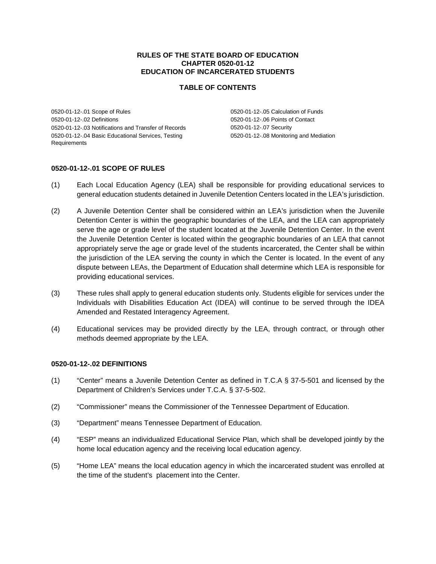#### **RULES OF THE STATE BOARD OF EDUCATION CHAPTER 0520-01-12 EDUCATION OF INCARCERATED STUDENTS**

### **TABLE OF CONTENTS**

0520-01-12-.01 Scope of Rules 0520-01-12-.02 Definitions 0520-01-12-.03 Notifications and Transfer of Records 0520-01-12-.04 Basic Educational Services, Testing Requirements

0520-01-12-.05 Calculation of Funds 0520-01-12-.06 Points of Contact 0520-01-12-.07 Security 0520-01-12-.08 Monitoring and Mediation

### **0520-01-12-.01 SCOPE OF RULES**

- (1) Each Local Education Agency (LEA) shall be responsible for providing educational services to general education students detained in Juvenile Detention Centers located in the LEA's jurisdiction.
- (2) A Juvenile Detention Center shall be considered within an LEA's jurisdiction when the Juvenile Detention Center is within the geographic boundaries of the LEA, and the LEA can appropriately serve the age or grade level of the student located at the Juvenile Detention Center. In the event the Juvenile Detention Center is located within the geographic boundaries of an LEA that cannot appropriately serve the age or grade level of the students incarcerated, the Center shall be within the jurisdiction of the LEA serving the county in which the Center is located. In the event of any dispute between LEAs, the Department of Education shall determine which LEA is responsible for providing educational services.
- (3) These rules shall apply to general education students only. Students eligible for services under the Individuals with Disabilities Education Act (IDEA) will continue to be served through the IDEA Amended and Restated Interagency Agreement.
- (4) Educational services may be provided directly by the LEA, through contract, or through other methods deemed appropriate by the LEA.

#### **0520-01-12-.02 DEFINITIONS**

- (1) "Center" means a Juvenile Detention Center as defined in T.C.A § 37-5-501 and licensed by the Department of Children's Services under T.C.A. § 37-5-502.
- (2) "Commissioner" means the Commissioner of the Tennessee Department of Education.
- (3) "Department" means Tennessee Department of Education.
- (4) "ESP" means an individualized Educational Service Plan, which shall be developed jointly by the home local education agency and the receiving local education agency.
- (5) "Home LEA" means the local education agency in which the incarcerated student was enrolled at the time of the student's placement into the Center.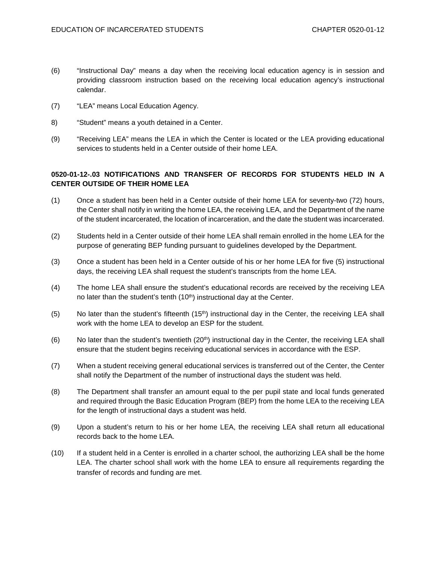- (6) "Instructional Day" means a day when the receiving local education agency is in session and providing classroom instruction based on the receiving local education agency's instructional calendar.
- (7) "LEA" means Local Education Agency.
- 8) "Student" means a youth detained in a Center.
- (9) "Receiving LEA" means the LEA in which the Center is located or the LEA providing educational services to students held in a Center outside of their home LEA.

## **0520-01-12-.03 NOTIFICATIONS AND TRANSFER OF RECORDS FOR STUDENTS HELD IN A CENTER OUTSIDE OF THEIR HOME LEA**

- (1) Once a student has been held in a Center outside of their home LEA for seventy-two (72) hours, the Center shall notify in writing the home LEA, the receiving LEA, and the Department of the name of the student incarcerated, the location of incarceration, and the date the student was incarcerated.
- (2) Students held in a Center outside of their home LEA shall remain enrolled in the home LEA for the purpose of generating BEP funding pursuant to guidelines developed by the Department.
- (3) Once a student has been held in a Center outside of his or her home LEA for five (5) instructional days, the receiving LEA shall request the student's transcripts from the home LEA.
- (4) The home LEA shall ensure the student's educational records are received by the receiving LEA no later than the student's tenth (10<sup>th</sup>) instructional day at the Center.
- (5) No later than the student's fifteenth  $(15<sup>th</sup>)$  instructional day in the Center, the receiving LEA shall work with the home LEA to develop an ESP for the student.
- (6) No later than the student's twentieth  $(20<sup>th</sup>)$  instructional day in the Center, the receiving LEA shall ensure that the student begins receiving educational services in accordance with the ESP.
- (7) When a student receiving general educational services is transferred out of the Center, the Center shall notify the Department of the number of instructional days the student was held.
- (8) The Department shall transfer an amount equal to the per pupil state and local funds generated and required through the Basic Education Program (BEP) from the home LEA to the receiving LEA for the length of instructional days a student was held.
- (9) Upon a student's return to his or her home LEA, the receiving LEA shall return all educational records back to the home LEA.
- (10) If a student held in a Center is enrolled in a charter school, the authorizing LEA shall be the home LEA. The charter school shall work with the home LEA to ensure all requirements regarding the transfer of records and funding are met.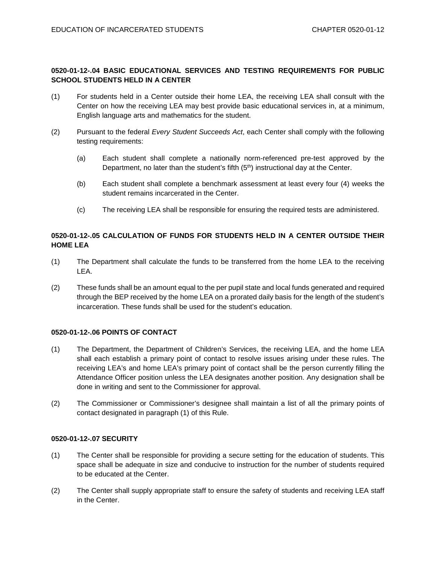# **0520-01-12-.04 BASIC EDUCATIONAL SERVICES AND TESTING REQUIREMENTS FOR PUBLIC SCHOOL STUDENTS HELD IN A CENTER**

- (1) For students held in a Center outside their home LEA, the receiving LEA shall consult with the Center on how the receiving LEA may best provide basic educational services in, at a minimum, English language arts and mathematics for the student.
- (2) Pursuant to the federal *Every Student Succeeds Act*, each Center shall comply with the following testing requirements:
	- (a) Each student shall complete a nationally norm-referenced pre-test approved by the Department, no later than the student's fifth  $(5<sup>th</sup>)$  instructional day at the Center.
	- (b) Each student shall complete a benchmark assessment at least every four (4) weeks the student remains incarcerated in the Center.
	- (c) The receiving LEA shall be responsible for ensuring the required tests are administered.

# **0520-01-12-.05 CALCULATION OF FUNDS FOR STUDENTS HELD IN A CENTER OUTSIDE THEIR HOME LEA**

- (1) The Department shall calculate the funds to be transferred from the home LEA to the receiving LEA.
- (2) These funds shall be an amount equal to the per pupil state and local funds generated and required through the BEP received by the home LEA on a prorated daily basis for the length of the student's incarceration. These funds shall be used for the student's education.

## **0520-01-12-.06 POINTS OF CONTACT**

- (1) The Department, the Department of Children's Services, the receiving LEA, and the home LEA shall each establish a primary point of contact to resolve issues arising under these rules. The receiving LEA's and home LEA's primary point of contact shall be the person currently filling the Attendance Officer position unless the LEA designates another position. Any designation shall be done in writing and sent to the Commissioner for approval.
- (2) The Commissioner or Commissioner's designee shall maintain a list of all the primary points of contact designated in paragraph (1) of this Rule.

## **0520-01-12-.07 SECURITY**

- (1) The Center shall be responsible for providing a secure setting for the education of students. This space shall be adequate in size and conducive to instruction for the number of students required to be educated at the Center.
- (2) The Center shall supply appropriate staff to ensure the safety of students and receiving LEA staff in the Center.